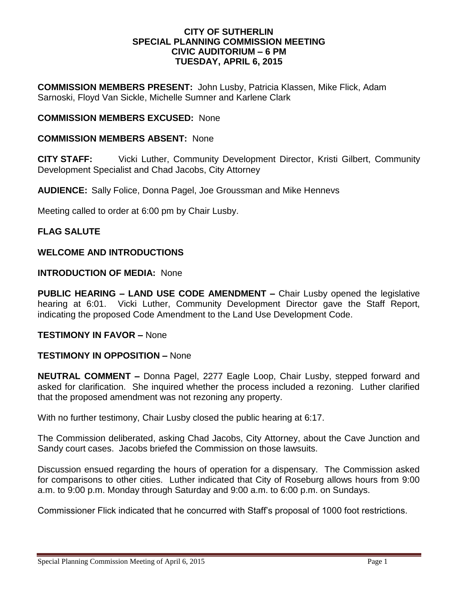### **CITY OF SUTHERLIN SPECIAL PLANNING COMMISSION MEETING CIVIC AUDITORIUM – 6 PM TUESDAY, APRIL 6, 2015**

**COMMISSION MEMBERS PRESENT:** John Lusby, Patricia Klassen, Mike Flick, Adam Sarnoski, Floyd Van Sickle, Michelle Sumner and Karlene Clark

# **COMMISSION MEMBERS EXCUSED:** None

## **COMMISSION MEMBERS ABSENT:** None

**CITY STAFF:** Vicki Luther, Community Development Director, Kristi Gilbert, Community Development Specialist and Chad Jacobs, City Attorney

**AUDIENCE:** Sally Folice, Donna Pagel, Joe Groussman and Mike Hennevs

Meeting called to order at 6:00 pm by Chair Lusby.

## **FLAG SALUTE**

# **WELCOME AND INTRODUCTIONS**

### **INTRODUCTION OF MEDIA:** None

**PUBLIC HEARING – LAND USE CODE AMENDMENT –** Chair Lusby opened the legislative hearing at 6:01. Vicki Luther, Community Development Director gave the Staff Report, indicating the proposed Code Amendment to the Land Use Development Code.

### **TESTIMONY IN FAVOR –** None

### **TESTIMONY IN OPPOSITION –** None

**NEUTRAL COMMENT –** Donna Pagel, 2277 Eagle Loop, Chair Lusby, stepped forward and asked for clarification. She inquired whether the process included a rezoning. Luther clarified that the proposed amendment was not rezoning any property.

With no further testimony, Chair Lusby closed the public hearing at 6:17.

The Commission deliberated, asking Chad Jacobs, City Attorney, about the Cave Junction and Sandy court cases. Jacobs briefed the Commission on those lawsuits.

Discussion ensued regarding the hours of operation for a dispensary. The Commission asked for comparisons to other cities. Luther indicated that City of Roseburg allows hours from 9:00 a.m. to 9:00 p.m. Monday through Saturday and 9:00 a.m. to 6:00 p.m. on Sundays.

Commissioner Flick indicated that he concurred with Staff's proposal of 1000 foot restrictions.